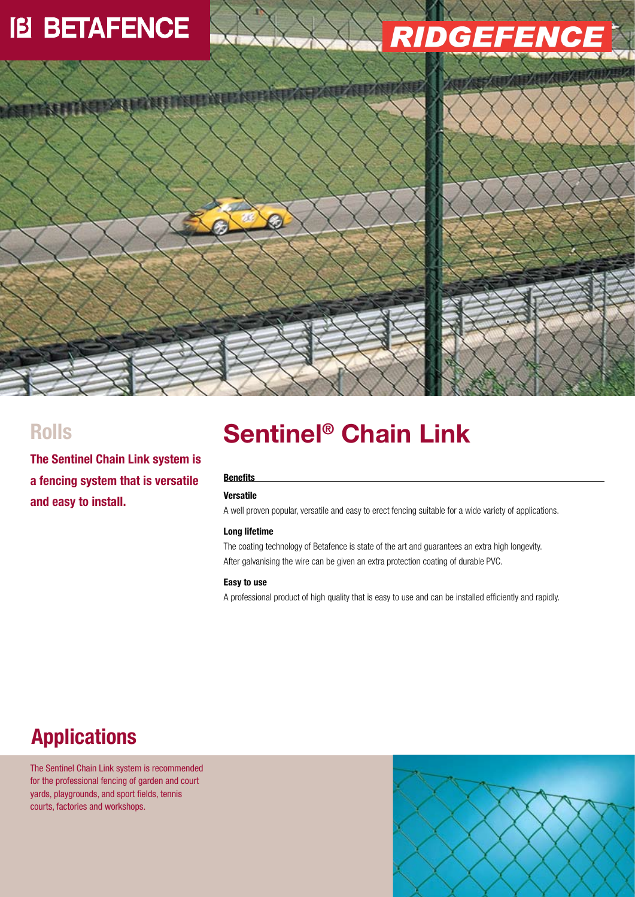## **IB BETAFENCE**

971

# *RIDGEFENG*

**The Sentinel Chain Link system is a fencing system that is versatile and easy to install.**

### **Sentinel Rolls ® Chain Link**

#### **Benefits**

### **Versatile**

A well proven popular, versatile and easy to erect fencing suitable for a wide variety of applications.

### **Long lifetime**

The coating technology of Betafence is state of the art and guarantees an extra high longevity. After galvanising the wire can be given an extra protection coating of durable PVC.

#### **Easy to use**

A professional product of high quality that is easy to use and can be installed efficiently and rapidly.

### **Applications**

The Sentinel Chain Link system is recommended for the professional fencing of garden and court yards, playgrounds, and sport fields, tennis courts, factories and workshops.